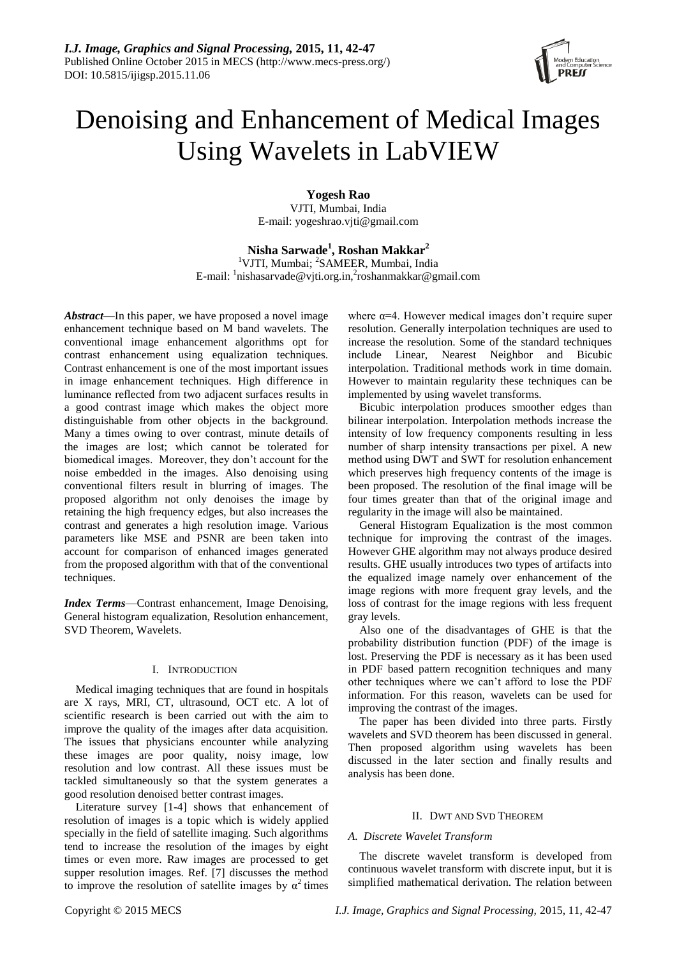

# Denoising and Enhancement of Medical Images Using Wavelets in LabVIEW

**Yogesh Rao** VJTI, Mumbai, India E-mail: yogeshrao.vjti@gmail.com

**Nisha Sarwade<sup>1</sup> , Roshan Makkar<sup>2</sup>** <sup>1</sup>VJTI, Mumbai; <sup>2</sup>SAMEER, Mumbai, India E-mail: <sup>1</sup>nishasarvade@vjti.org.in,<sup>2</sup>roshanmakkar@gmail.com

*Abstract*—In this paper, we have proposed a novel image enhancement technique based on M band wavelets. The conventional image enhancement algorithms opt for contrast enhancement using equalization techniques. Contrast enhancement is one of the most important issues in image enhancement techniques. High difference in luminance reflected from two adjacent surfaces results in a good contrast image which makes the object more distinguishable from other objects in the background. Many a times owing to over contrast, minute details of the images are lost; which cannot be tolerated for biomedical images. Moreover, they don"t account for the noise embedded in the images. Also denoising using conventional filters result in blurring of images. The proposed algorithm not only denoises the image by retaining the high frequency edges, but also increases the contrast and generates a high resolution image. Various parameters like MSE and PSNR are been taken into account for comparison of enhanced images generated from the proposed algorithm with that of the conventional techniques.

*Index Terms*—Contrast enhancement, Image Denoising, General histogram equalization, Resolution enhancement, SVD Theorem, Wavelets.

# I. INTRODUCTION

Medical imaging techniques that are found in hospitals are X rays, MRI, CT, ultrasound, OCT etc. A lot of scientific research is been carried out with the aim to improve the quality of the images after data acquisition. The issues that physicians encounter while analyzing these images are poor quality, noisy image, low resolution and low contrast. All these issues must be tackled simultaneously so that the system generates a good resolution denoised better contrast images.

Literature survey [1-4] shows that enhancement of resolution of images is a topic which is widely applied specially in the field of satellite imaging. Such algorithms tend to increase the resolution of the images by eight times or even more. Raw images are processed to get supper resolution images. Ref. [7] discusses the method to improve the resolution of satellite images by  $\alpha^2$  times where  $\alpha$ =4. However medical images don't require super resolution. Generally interpolation techniques are used to increase the resolution. Some of the standard techniques include Linear, Nearest Neighbor and Bicubic interpolation. Traditional methods work in time domain. However to maintain regularity these techniques can be implemented by using wavelet transforms.

Bicubic interpolation produces smoother edges than bilinear interpolation. Interpolation methods increase the intensity of low frequency components resulting in less number of sharp intensity transactions per pixel. A new method using DWT and SWT for resolution enhancement which preserves high frequency contents of the image is been proposed. The resolution of the final image will be four times greater than that of the original image and regularity in the image will also be maintained.

General Histogram Equalization is the most common technique for improving the contrast of the images. However GHE algorithm may not always produce desired results. GHE usually introduces two types of artifacts into the equalized image namely over enhancement of the image regions with more frequent gray levels, and the loss of contrast for the image regions with less frequent gray levels.

Also one of the disadvantages of GHE is that the probability distribution function (PDF) of the image is lost. Preserving the PDF is necessary as it has been used in PDF based pattern recognition techniques and many other techniques where we can"t afford to lose the PDF information. For this reason, wavelets can be used for improving the contrast of the images.

The paper has been divided into three parts. Firstly wavelets and SVD theorem has been discussed in general. Then proposed algorithm using wavelets has been discussed in the later section and finally results and analysis has been done.

# II. DWT AND SVD THEOREM

# *A. Discrete Wavelet Transform*

The discrete wavelet transform is developed from continuous wavelet transform with discrete input, but it is simplified mathematical derivation. The relation between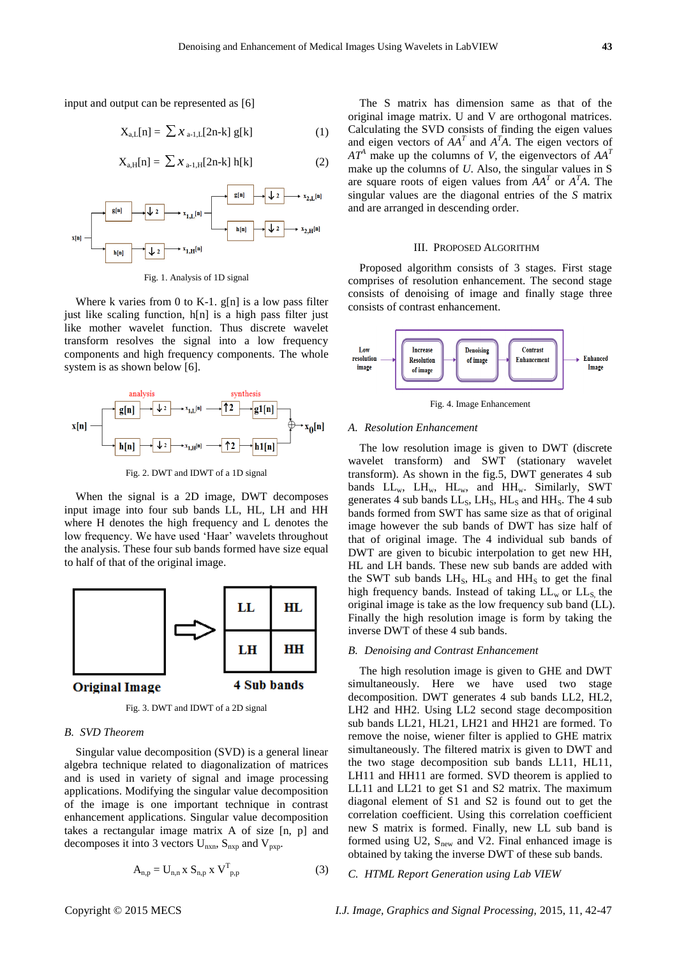input and output can be represented as [6]

$$
X_{a,L}[n] = \sum x_{a-1,L}[2n-k] g[k]
$$
 (1)

$$
X_{a,H}[n] = \sum x_{a-1,H}[2n-k] h[k]
$$
 (2)



Fig. 1. Analysis of 1D signal

Where k varies from 0 to K-1.  $g[n]$  is a low pass filter just like scaling function, h[n] is a high pass filter just like mother wavelet function. Thus discrete wavelet transform resolves the signal into a low frequency components and high frequency components. The whole system is as shown below [6].



Fig. 2. DWT and IDWT of a 1D signal

When the signal is a 2D image, DWT decomposes input image into four sub bands LL, HL, LH and HH where H denotes the high frequency and L denotes the low frequency. We have used 'Haar' wavelets throughout the analysis. These four sub bands formed have size equal to half of that of the original image.



Fig. 3. DWT and IDWT of a 2D signal

#### *B. SVD Theorem*

Singular value decomposition (SVD) is a general linear algebra technique related to diagonalization of matrices and is used in variety of signal and image processing applications. Modifying the singular value decomposition of the image is one important technique in contrast enhancement applications. Singular value decomposition takes a rectangular image matrix A of size [n, p] and decomposes it into 3 vectors  $U_{nxn}$ ,  $S_{nxp}$  and  $V_{pxp}$ .

$$
A_{n,p} = U_{n,n} x S_{n,p} x V_{p,p}^{T}
$$
 (3)

The S matrix has dimension same as that of the original image matrix. U and V are orthogonal matrices. Calculating the SVD consists of finding the eigen values and eigen vectors of  $AA<sup>T</sup>$  and  $A<sup>T</sup>A$ . The eigen vectors of  $AT<sup>A</sup>$  make up the columns of *V*, the eigenvectors of  $AA<sup>T</sup>$ make up the columns of *U*. Also, the singular values in S are square roots of eigen values from  $AA<sup>T</sup>$  or  $A<sup>T</sup>A$ . The singular values are the diagonal entries of the *S* matrix and are arranged in descending order.

#### III. PROPOSED ALGORITHM

Proposed algorithm consists of 3 stages. First stage comprises of resolution enhancement. The second stage consists of denoising of image and finally stage three consists of contrast enhancement.



Fig. 4. Image Enhancement

## *A. Resolution Enhancement*

The low resolution image is given to DWT (discrete wavelet transform) and SWT (stationary wavelet transform). As shown in the fig.5, DWT generates 4 sub bands  $LL_{w}$ ,  $LH_{w}$ ,  $HL_{w}$ , and  $HH_{w}$ . Similarly, SWT generates 4 sub bands  $LL_S$ ,  $LH_S$ ,  $HL_S$  and  $HH_S$ . The 4 sub bands formed from SWT has same size as that of original image however the sub bands of DWT has size half of that of original image. The 4 individual sub bands of DWT are given to bicubic interpolation to get new HH, HL and LH bands. These new sub bands are added with the SWT sub bands  $LH<sub>S</sub>$ ,  $HL<sub>S</sub>$  and  $HH<sub>S</sub>$  to get the final high frequency bands. Instead of taking  $LL_{w}$  or  $LL_{S}$ , the original image is take as the low frequency sub band (LL). Finally the high resolution image is form by taking the inverse DWT of these 4 sub bands.

#### *B. Denoising and Contrast Enhancement*

The high resolution image is given to GHE and DWT simultaneously. Here we have used two stage decomposition. DWT generates 4 sub bands LL2, HL2, LH2 and HH2. Using LL2 second stage decomposition sub bands LL21, HL21, LH21 and HH21 are formed. To remove the noise, wiener filter is applied to GHE matrix simultaneously. The filtered matrix is given to DWT and the two stage decomposition sub bands LL11, HL11, LH11 and HH11 are formed. SVD theorem is applied to LL11 and LL21 to get S1 and S2 matrix. The maximum diagonal element of S1 and S2 is found out to get the correlation coefficient. Using this correlation coefficient new S matrix is formed. Finally, new LL sub band is formed using U2,  $S_{new}$  and V2. Final enhanced image is obtained by taking the inverse DWT of these sub bands.

#### *C. HTML Report Generation using Lab VIEW*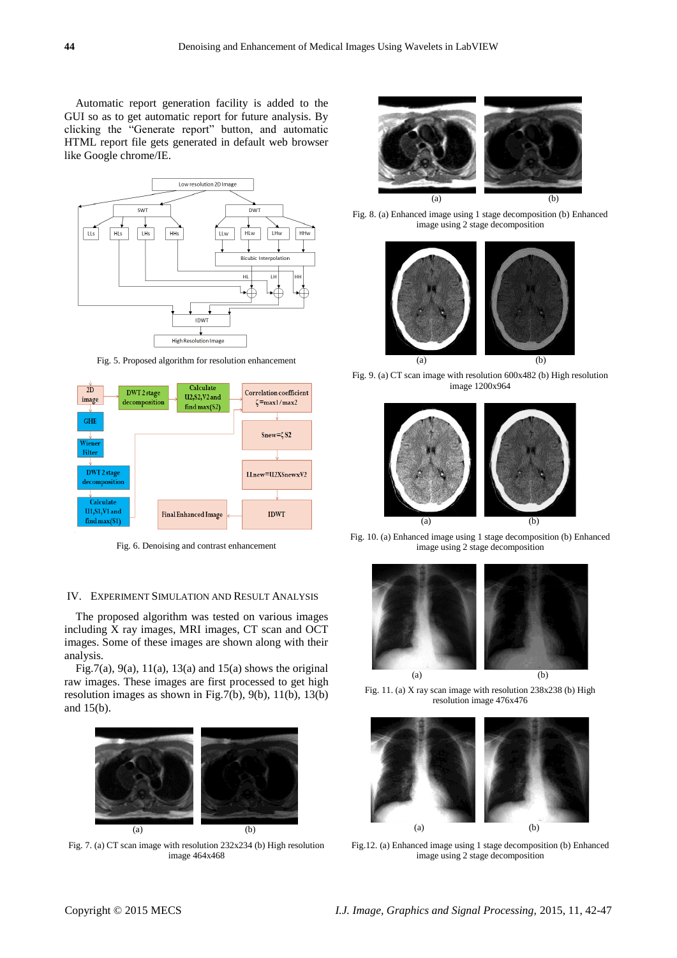Automatic report generation facility is added to the GUI so as to get automatic report for future analysis. By clicking the "Generate report" button, and automatic HTML report file gets generated in default web browser like Google chrome/IE.



Fig. 5. Proposed algorithm for resolution enhancement



Fig. 6. Denoising and contrast enhancement

## IV. EXPERIMENT SIMULATION AND RESULT ANALYSIS

The proposed algorithm was tested on various images including X ray images, MRI images, CT scan and OCT images. Some of these images are shown along with their analysis.

Fig.7(a),  $9(a)$ ,  $11(a)$ ,  $13(a)$  and  $15(a)$  shows the original raw images. These images are first processed to get high resolution images as shown in Fig.7(b), 9(b), 11(b), 13(b) and 15(b).



Fig. 7. (a) CT scan image with resolution 232x234 (b) High resolution image 464x468



Fig. 8. (a) Enhanced image using 1 stage decomposition (b) Enhanced image using 2 stage decomposition



Fig. 9. (a) CT scan image with resolution 600x482 (b) High resolution image 1200x964



Fig. 10. (a) Enhanced image using 1 stage decomposition (b) Enhanced image using 2 stage decomposition



Fig. 11. (a) X ray scan image with resolution 238x238 (b) High resolution image 476x476



Fig.12. (a) Enhanced image using 1 stage decomposition (b) Enhanced image using 2 stage decomposition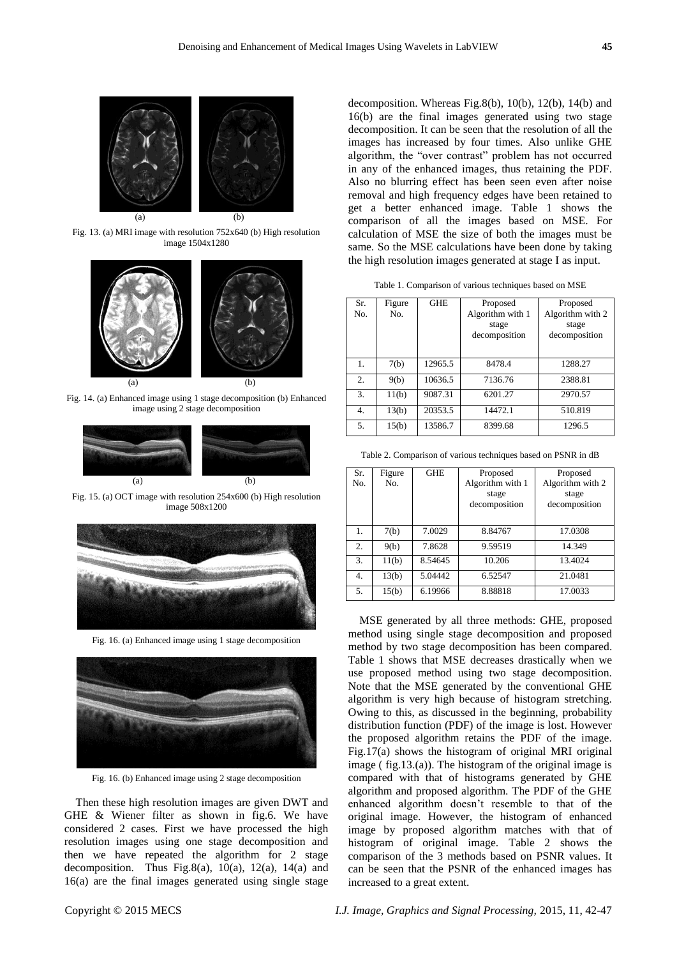

Fig. 13. (a) MRI image with resolution 752x640 (b) High resolution image 1504x1280



Fig. 14. (a) Enhanced image using 1 stage decomposition (b) Enhanced image using 2 stage decomposition



Fig. 15. (a) OCT image with resolution 254x600 (b) High resolution image 508x1200



Fig. 16. (a) Enhanced image using 1 stage decomposition



Fig. 16. (b) Enhanced image using 2 stage decomposition

Then these high resolution images are given DWT and GHE & Wiener filter as shown in fig.6. We have considered 2 cases. First we have processed the high resolution images using one stage decomposition and then we have repeated the algorithm for 2 stage decomposition. Thus Fig.8(a),  $10(a)$ ,  $12(a)$ ,  $14(a)$  and 16(a) are the final images generated using single stage decomposition. Whereas Fig.8(b), 10(b), 12(b), 14(b) and 16(b) are the final images generated using two stage decomposition. It can be seen that the resolution of all the images has increased by four times. Also unlike GHE algorithm, the "over contrast" problem has not occurred in any of the enhanced images, thus retaining the PDF. Also no blurring effect has been seen even after noise removal and high frequency edges have been retained to get a better enhanced image. Table 1 shows the comparison of all the images based on MSE. For calculation of MSE the size of both the images must be same. So the MSE calculations have been done by taking the high resolution images generated at stage I as input.

Table 1. Comparison of various techniques based on MSE

| Sr. | Figure | <b>GHE</b> | Proposed         | Proposed         |
|-----|--------|------------|------------------|------------------|
| No. | No.    |            | Algorithm with 1 | Algorithm with 2 |
|     |        |            | stage            | stage            |
|     |        |            | decomposition    | decomposition    |
|     |        |            |                  |                  |
|     |        |            |                  |                  |
| 1.  | 7(b)   | 12965.5    | 8478.4           | 1288.27          |
| 2.  | 9(b)   | 10636.5    | 7136.76          | 2388.81          |
| 3.  | 11(b)  | 9087.31    | 6201.27          | 2970.57          |
| 4.  | 13(b)  | 20353.5    | 14472.1          | 510.819          |
|     |        |            |                  |                  |
| 5.  | 15(b)  | 13586.7    | 8399.68          | 1296.5           |

Table 2. Comparison of various techniques based on PSNR in dB

| Sr.<br>No.       | Figure<br>No. | <b>GHE</b> | Proposed<br>Algorithm with 1<br>stage<br>decomposition | Proposed<br>Algorithm with 2<br>stage<br>decomposition |
|------------------|---------------|------------|--------------------------------------------------------|--------------------------------------------------------|
| 1.               | 7(b)          | 7.0029     | 8.84767                                                | 17.0308                                                |
| $\overline{2}$ . | 9(b)          | 7.8628     | 9.59519                                                | 14.349                                                 |
| 3.               | 11(b)         | 8.54645    | 10.206                                                 | 13.4024                                                |
| 4.               | 13(b)         | 5.04442    | 6.52547                                                | 21.0481                                                |
| 5.               | 15(b)         | 6.19966    | 8.88818                                                | 17.0033                                                |

MSE generated by all three methods: GHE, proposed method using single stage decomposition and proposed method by two stage decomposition has been compared. Table 1 shows that MSE decreases drastically when we use proposed method using two stage decomposition. Note that the MSE generated by the conventional GHE algorithm is very high because of histogram stretching. Owing to this, as discussed in the beginning, probability distribution function (PDF) of the image is lost. However the proposed algorithm retains the PDF of the image. Fig.17(a) shows the histogram of original MRI original image ( fig.13.(a)). The histogram of the original image is compared with that of histograms generated by GHE algorithm and proposed algorithm. The PDF of the GHE enhanced algorithm doesn"t resemble to that of the original image. However, the histogram of enhanced image by proposed algorithm matches with that of histogram of original image. Table 2 shows the comparison of the 3 methods based on PSNR values. It can be seen that the PSNR of the enhanced images has increased to a great extent.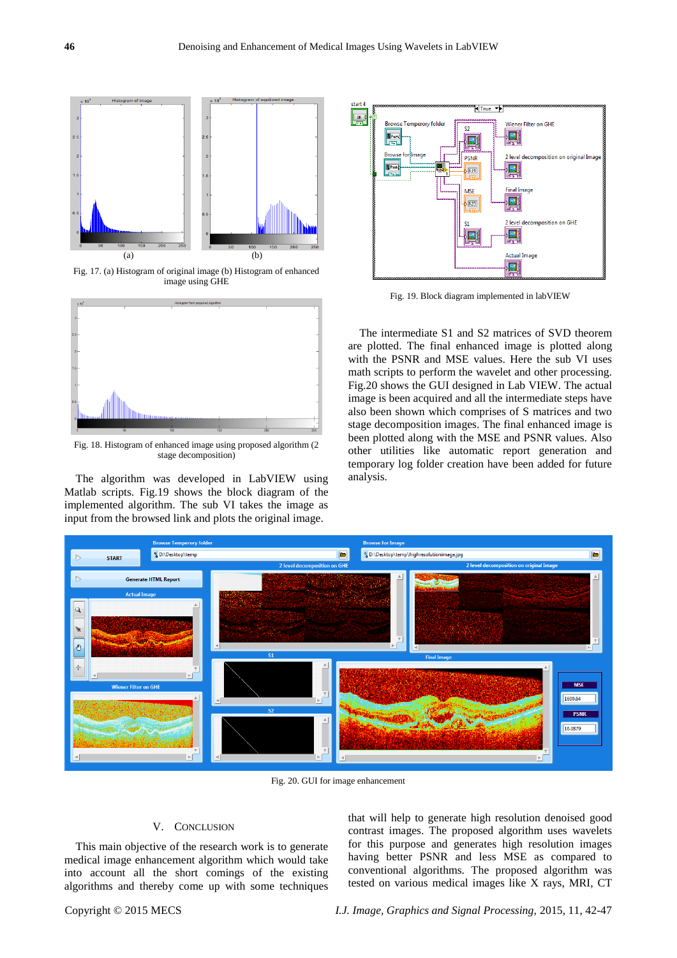

Fig. 17. (a) Histogram of original image (b) Histogram of enhanced image using GHE



Fig. 18. Histogram of enhanced image using proposed algorithm (2 stage decomposition)

The algorithm was developed in LabVIEW using Matlab scripts. Fig.19 shows the block diagram of the implemented algorithm. The sub VI takes the image as input from the browsed link and plots the original image.



Fig. 19. Block diagram implemented in labVIEW

The intermediate S1 and S2 matrices of SVD theorem are plotted. The final enhanced image is plotted along with the PSNR and MSE values. Here the sub VI uses math scripts to perform the wavelet and other processing. Fig.20 shows the GUI designed in Lab VIEW. The actual image is been acquired and all the intermediate steps have also been shown which comprises of S matrices and two stage decomposition images. The final enhanced image is been plotted along with the MSE and PSNR values. Also other utilities like automatic report generation and temporary log folder creation have been added for future analysis.



Fig. 20. GUI for image enhancement

# V. CONCLUSION

This main objective of the research work is to generate medical image enhancement algorithm which would take into account all the short comings of the existing algorithms and thereby come up with some techniques that will help to generate high resolution denoised good contrast images. The proposed algorithm uses wavelets for this purpose and generates high resolution images having better PSNR and less MSE as compared to conventional algorithms. The proposed algorithm was tested on various medical images like X rays, MRI, CT